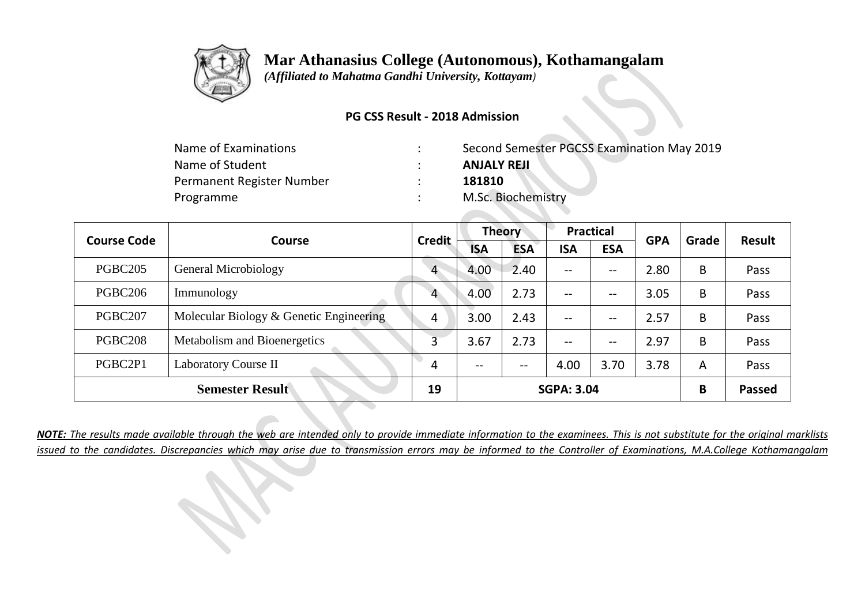

 *(Affiliated to Mahatma Gandhi University, Kottayam)*

### **PG CSS Result - 2018 Admission**

| Name of Examinations      | Second Semester PGCSS Examination May 2019 |
|---------------------------|--------------------------------------------|
| Name of Student           | <b>ANJALY REJI</b>                         |
| Permanent Register Number | 181810                                     |
| Programme                 | M.Sc. Biochemistry                         |

| <b>Course Code</b>  | <b>Course</b>                           | <b>Credit</b>  | <b>Theory</b> |            | <b>Practical</b>                      |            | <b>GPA</b> | Grade | Result        |
|---------------------|-----------------------------------------|----------------|---------------|------------|---------------------------------------|------------|------------|-------|---------------|
|                     |                                         |                | <b>ISA</b>    | <b>ESA</b> | <b>ISA</b>                            | <b>ESA</b> |            |       |               |
| <b>PGBC205</b>      | General Microbiology                    | $\overline{4}$ | 4.00          | 2.40       | $\hspace{0.05cm}$ – $\hspace{0.05cm}$ | --         | 2.80       | B     | Pass          |
| PGBC <sub>206</sub> | Immunology                              | 4              | 4.00          | 2.73       | $\overline{\phantom{m}}$              | --         | 3.05       | B     | Pass          |
| PGBC207             | Molecular Biology & Genetic Engineering | 4              | 3.00          | 2.43       | $\overline{\phantom{m}}$              | --         | 2.57       | B     | Pass          |
| <b>PGBC208</b>      | Metabolism and Bioenergetics            | 3              | 3.67          | 2.73       | $-$                                   | --         | 2.97       | B     | Pass          |
| PGBC2P1             | Laboratory Course II                    | 4              | $- -$         | $- -$      | 4.00                                  | 3.70       | 3.78       | A     | Pass          |
|                     | <b>Semester Result</b>                  | 19             |               |            | <b>SGPA: 3.04</b>                     |            |            | B     | <b>Passed</b> |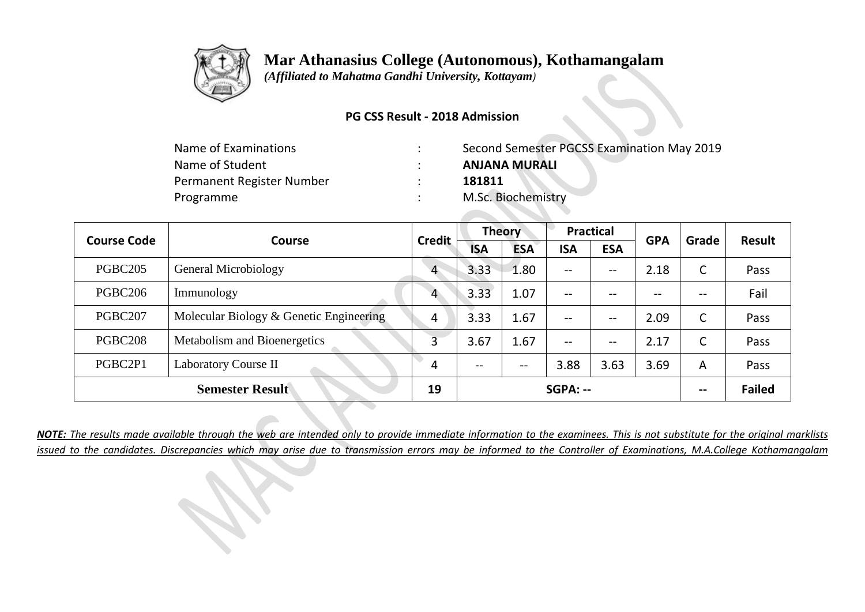

 *(Affiliated to Mahatma Gandhi University, Kottayam)*

### **PG CSS Result - 2018 Admission**

| Name of Examinations      | Second Semester PGCSS Examination May 2019 |
|---------------------------|--------------------------------------------|
| Name of Student           | <b>ANJANA MURALI</b>                       |
| Permanent Register Number | 181811                                     |
| Programme                 | M.Sc. Biochemistry                         |
|                           |                                            |

| <b>Course Code</b>  | Course                                  | <b>Credit</b>  | <b>Theory</b> |                          | <b>Practical</b>         |                   | <b>GPA</b> | Grade          | Result        |
|---------------------|-----------------------------------------|----------------|---------------|--------------------------|--------------------------|-------------------|------------|----------------|---------------|
|                     |                                         |                | <b>ISA</b>    | <b>ESA</b>               | <b>ISA</b>               | <b>ESA</b>        |            |                |               |
| PGBC <sub>205</sub> | General Microbiology                    | $\overline{4}$ | 3.33          | 1.80                     | $\qquad \qquad -$        | $\qquad \qquad -$ | 2.18       | C              | Pass          |
| PGBC <sub>206</sub> | Immunology                              | 4              | 3.33          | 1.07                     | $\overline{\phantom{a}}$ | --                | $-$        | $- -$          | Fail          |
| PGBC207             | Molecular Biology & Genetic Engineering | 4              | 3.33          | 1.67                     | $\overline{\phantom{a}}$ | --                | 2.09       | C              | Pass          |
| PGBC <sub>208</sub> | Metabolism and Bioenergetics            | 3              | 3.67          | 1.67                     | $-$                      | --                | 2.17       | C              | Pass          |
| PGBC2P1             | <b>Laboratory Course II</b>             | 4              | $- -$         | $\overline{\phantom{m}}$ | 3.88                     | 3.63              | 3.69       | $\overline{A}$ | Pass          |
|                     | <b>Semester Result</b>                  | 19             |               |                          | $SGPA: -$                |                   |            | --             | <b>Failed</b> |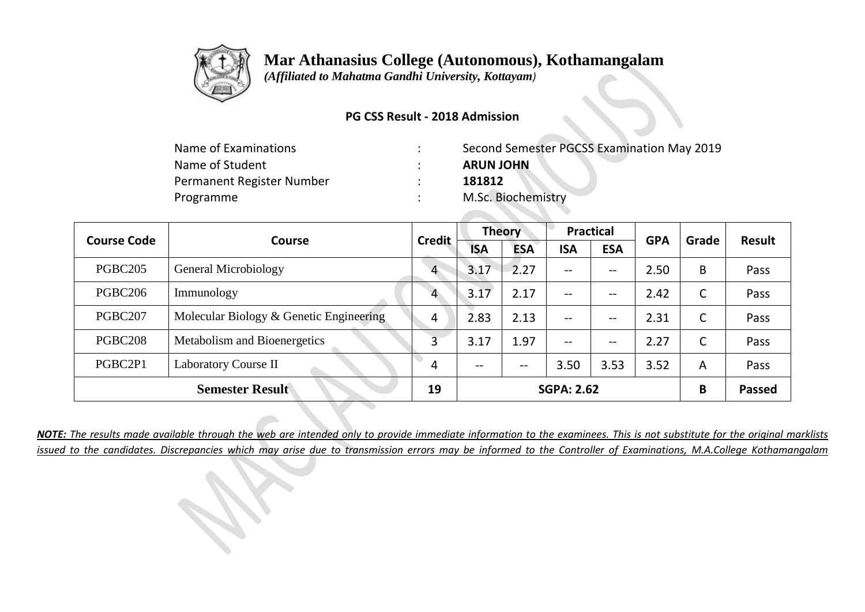

 *(Affiliated to Mahatma Gandhi University, Kottayam)*

### **PG CSS Result - 2018 Admission**

| Name of Examinations      | Second Semester PGCSS Examination May 2019 |
|---------------------------|--------------------------------------------|
| Name of Student           | <b>ARUN JOHN</b>                           |
| Permanent Register Number | 181812                                     |
| Programme                 | M.Sc. Biochemistry                         |

| <b>Course Code</b>  | <b>Course</b>                           | <b>Credit</b>  | <b>Theory</b>            |            | <b>Practical</b>         |            | <b>GPA</b> | Grade | <b>Result</b> |
|---------------------|-----------------------------------------|----------------|--------------------------|------------|--------------------------|------------|------------|-------|---------------|
|                     |                                         |                | <b>ISA</b>               | <b>ESA</b> | <b>ISA</b>               | <b>ESA</b> |            |       |               |
| <b>PGBC205</b>      | General Microbiology                    | $\overline{4}$ | 3.17                     | 2.27       | $\overline{\phantom{m}}$ | $- -$      | 2.50       | B     | Pass          |
| PGBC <sub>206</sub> | Immunology                              | $\overline{4}$ | 3.17                     | 2.17       | $\overline{\phantom{m}}$ | --         | 2.42       | C     | Pass          |
| PGBC207             | Molecular Biology & Genetic Engineering | 4              | 2.83                     | 2.13       | $- -$                    | --         | 2.31       | C     | Pass          |
| <b>PGBC208</b>      | Metabolism and Bioenergetics            | 3              | 3.17                     | 1.97       | $\overline{\phantom{m}}$ | --         | 2.27       | C     | Pass          |
| PGBC2P1             | Laboratory Course II                    | 4              | $\overline{\phantom{m}}$ | $- -$      | 3.50                     | 3.53       | 3.52       | A     | Pass          |
|                     | <b>Semester Result</b>                  | 19             |                          |            | <b>SGPA: 2.62</b>        |            |            | B     | <b>Passed</b> |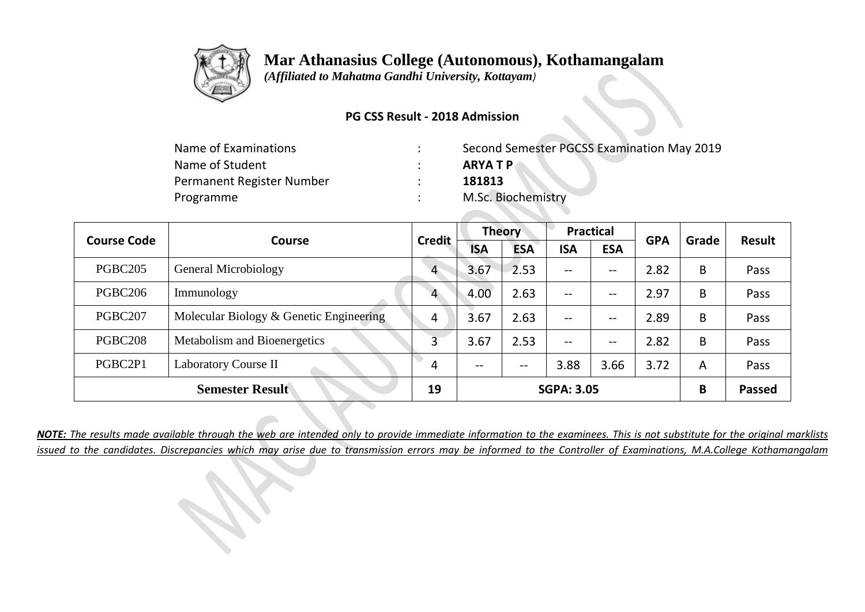

 *(Affiliated to Mahatma Gandhi University, Kottayam)*

### **PG CSS Result - 2018 Admission**

| Name of Examinations      | Second Semester PGCSS Examination May 2019 |
|---------------------------|--------------------------------------------|
| Name of Student           | <b>ARYATP</b>                              |
| Permanent Register Number | 181813                                     |
| Programme                 | M.Sc. Biochemistry                         |

**Contract Contract** 

| <b>Course Code</b> | <b>Course</b>                           | <b>Credit</b>  | <b>Theory</b> |            | <b>Practical</b>                      |            | <b>GPA</b> | Grade | <b>Result</b> |
|--------------------|-----------------------------------------|----------------|---------------|------------|---------------------------------------|------------|------------|-------|---------------|
|                    |                                         |                | <b>ISA</b>    | <b>ESA</b> | <b>ISA</b>                            | <b>ESA</b> |            |       |               |
| PGBC205            | General Microbiology                    | $\overline{4}$ | 3.67          | 2.53       | $\qquad \qquad -$                     | --         | 2.82       | B     | Pass          |
| PGBC206            | Immunology                              | $\overline{4}$ | 4.00          | 2.63       | $\hspace{0.05cm}$ – $\hspace{0.05cm}$ | $- -$      | 2.97       | B     | Pass          |
| PGBC207            | Molecular Biology & Genetic Engineering | 4              | 3.67          | 2.63       | $\overline{\phantom{a}}$              | --         | 2.89       | B     | Pass          |
| PGBC208            | Metabolism and Bioenergetics            | 3              | 3.67          | 2.53       | $-$                                   | $- -$      | 2.82       | B     | Pass          |
| PGBC2P1            | <b>Laboratory Course II</b>             | 4              | --            | $- -$      | 3.88                                  | 3.66       | 3.72       | A     | Pass          |
|                    | <b>Semester Result</b>                  | 19             |               |            | <b>SGPA: 3.05</b>                     |            |            | B     | <b>Passed</b> |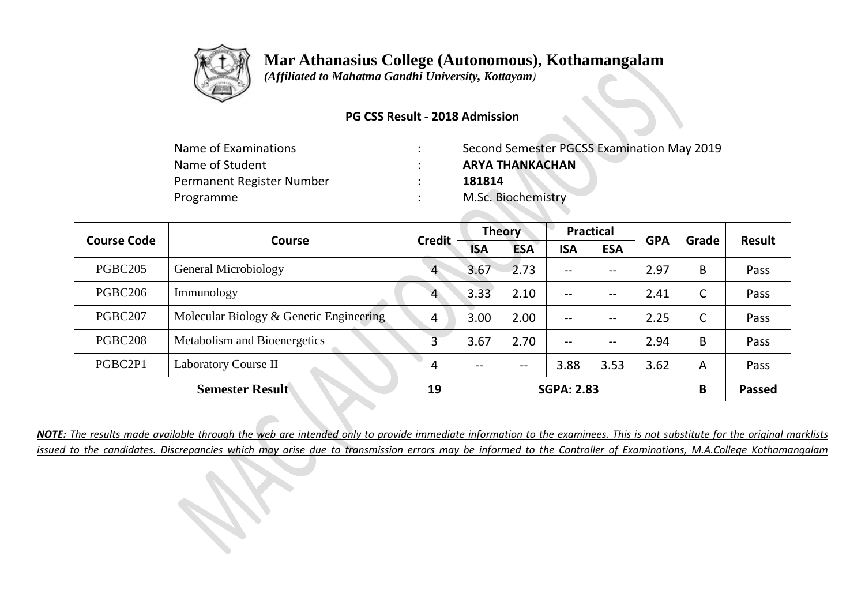

 *(Affiliated to Mahatma Gandhi University, Kottayam)*

### **PG CSS Result - 2018 Admission**

| Second Semester PGCSS Examination May 2019 |
|--------------------------------------------|
| <b>ARYA THANKACHAN</b>                     |
| 181814                                     |
| M.Sc. Biochemistry                         |
|                                            |

| <b>Course Code</b>  | Course                                  | <b>Credit</b>  | <b>Theory</b> |            | <b>Practical</b>  |            | <b>GPA</b> | Grade | <b>Result</b> |
|---------------------|-----------------------------------------|----------------|---------------|------------|-------------------|------------|------------|-------|---------------|
|                     |                                         |                | <b>ISA</b>    | <b>ESA</b> | <b>ISA</b>        | <b>ESA</b> |            |       |               |
| PGBC <sub>205</sub> | General Microbiology                    | $\overline{4}$ | 3.67          | 2.73       | $\qquad \qquad -$ | --         | 2.97       | B     | Pass          |
| PGBC206             | Immunology                              | 4              | 3.33          | 2.10       | $\qquad \qquad -$ | --         | 2.41       | C     | Pass          |
| PGBC207             | Molecular Biology & Genetic Engineering | 4              | 3.00          | 2.00       | $\qquad \qquad -$ | --         | 2.25       | C     | Pass          |
| <b>PGBC208</b>      | Metabolism and Bioenergetics            | 3              | 3.67          | 2.70       | $-$               | --         | 2.94       | B     | Pass          |
| PGBC2P1             | Laboratory Course II                    | 4              | $- -$         | $- -$      | 3.88              | 3.53       | 3.62       | A     | Pass          |
|                     | <b>Semester Result</b>                  | 19             |               |            | <b>SGPA: 2.83</b> |            |            | B     | <b>Passed</b> |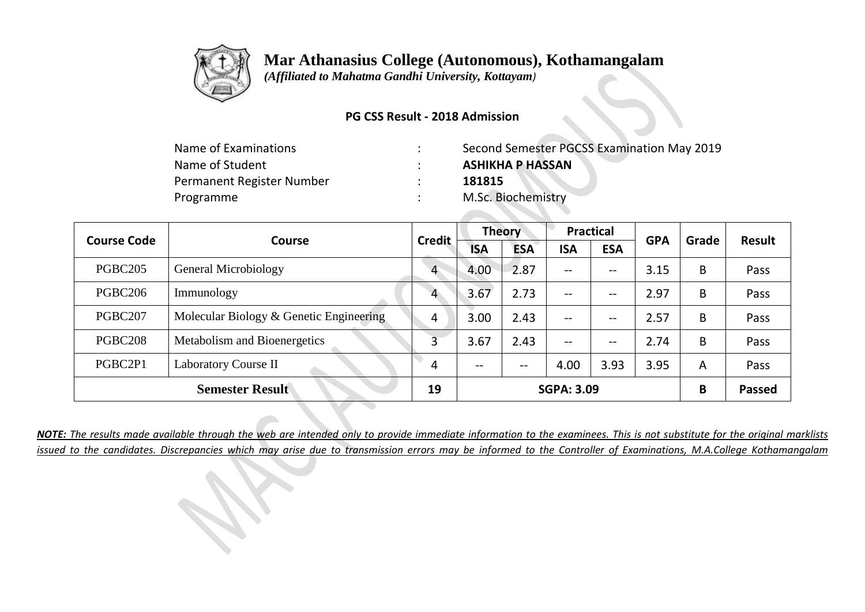

 *(Affiliated to Mahatma Gandhi University, Kottayam)*

### **PG CSS Result - 2018 Admission**

| Name of Examinations      | Second Semester PGCSS Examination May 2019 |
|---------------------------|--------------------------------------------|
| Name of Student           | <b>ASHIKHA P HASSAN</b>                    |
| Permanent Register Number | 181815                                     |
| Programme                 | M.Sc. Biochemistry                         |

| <b>Course Code</b>  | Course                                  | <b>Credit</b>  | <b>Theory</b> |            | <b>Practical</b>         |            | <b>GPA</b> | Grade | <b>Result</b> |
|---------------------|-----------------------------------------|----------------|---------------|------------|--------------------------|------------|------------|-------|---------------|
|                     |                                         |                | <b>ISA</b>    | <b>ESA</b> | <b>ISA</b>               | <b>ESA</b> |            |       |               |
| PGBC <sub>205</sub> | General Microbiology                    | $\overline{4}$ | 4.00          | 2.87       | $\overline{\phantom{m}}$ | --         | 3.15       | B     | Pass          |
| PGBC <sub>206</sub> | Immunology                              | 4              | 3.67          | 2.73       | $--$                     | --         | 2.97       | B     | Pass          |
| PGBC207             | Molecular Biology & Genetic Engineering | 4              | 3.00          | 2.43       | $- -$                    | --         | 2.57       | B     | Pass          |
| PGBC208             | Metabolism and Bioenergetics            | 3              | 3.67          | 2.43       | $- -$                    | --         | 2.74       | B     | Pass          |
| PGBC2P1             | <b>Laboratory Course II</b>             | 4              | $- -$         | $- -$      | 4.00                     | 3.93       | 3.95       | A     | Pass          |
|                     | <b>Semester Result</b>                  | 19             |               |            | <b>SGPA: 3.09</b>        |            |            | B     | <b>Passed</b> |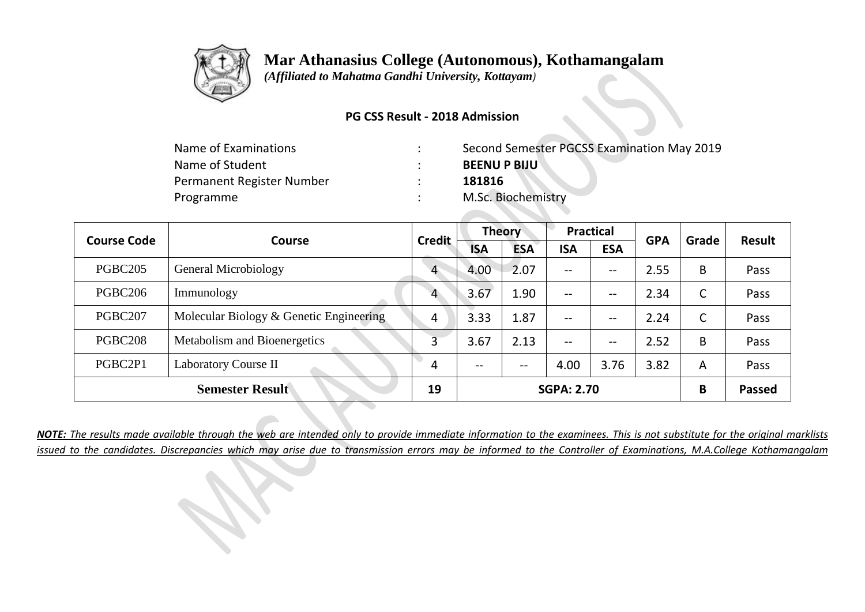

 *(Affiliated to Mahatma Gandhi University, Kottayam)*

### **PG CSS Result - 2018 Admission**

| Name of Examinations      | Second Semester PGCSS Examination May 2019 |
|---------------------------|--------------------------------------------|
| Name of Student           | <b>BEENU P BIJU</b>                        |
| Permanent Register Number | 181816                                     |
| Programme                 | M.Sc. Biochemistry                         |

| <b>Course Code</b>  | <b>Course</b>                           | <b>Credit</b>  | <b>Theory</b> |            | <b>Practical</b>         |            | <b>GPA</b> | Grade | Result        |
|---------------------|-----------------------------------------|----------------|---------------|------------|--------------------------|------------|------------|-------|---------------|
|                     |                                         |                | <b>ISA</b>    | <b>ESA</b> | <b>ISA</b>               | <b>ESA</b> |            |       |               |
| PGBC <sub>205</sub> | General Microbiology                    | $\overline{4}$ | 4.00          | 2.07       | $--$                     | --         | 2.55       | B     | Pass          |
| PGBC206             | Immunology                              | 4              | 3.67          | 1.90       | $\overline{\phantom{m}}$ | --         | 2.34       | C     | Pass          |
| PGBC207             | Molecular Biology & Genetic Engineering | 4              | 3.33          | 1.87       | $\overline{\phantom{m}}$ | --         | 2.24       | C     | Pass          |
| <b>PGBC208</b>      | Metabolism and Bioenergetics            |                | 3.67          | 2.13       | $- -$                    | --         | 2.52       | B     | Pass          |
| PGBC2P1             | Laboratory Course II                    | 4              | $- -$         | $- -$      | 4.00                     | 3.76       | 3.82       | A     | Pass          |
|                     | <b>Semester Result</b>                  | 19             |               |            | <b>SGPA: 2.70</b>        |            |            | B     | <b>Passed</b> |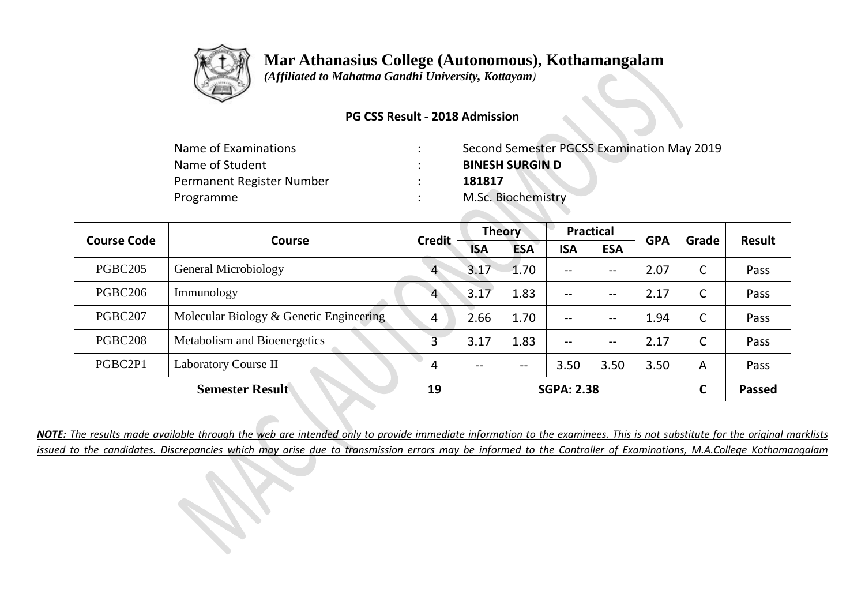

 *(Affiliated to Mahatma Gandhi University, Kottayam)*

### **PG CSS Result - 2018 Admission**

| Name of Examinations      | Second Semester PGCSS Examination May 2019 |
|---------------------------|--------------------------------------------|
| Name of Student           | <b>BINESH SURGIN D</b>                     |
| Permanent Register Number | 181817                                     |
| Programme                 | M.Sc. Biochemistry                         |

| <b>Course Code</b>  | <b>Course</b>                           | <b>Credit</b>  | <b>Theory</b> |            | <b>Practical</b>         |            | <b>GPA</b> | Grade | Result        |
|---------------------|-----------------------------------------|----------------|---------------|------------|--------------------------|------------|------------|-------|---------------|
|                     |                                         |                | <b>ISA</b>    | <b>ESA</b> | <b>ISA</b>               | <b>ESA</b> |            |       |               |
| PGBC <sub>205</sub> | General Microbiology                    | $\overline{4}$ | 3.17          | 1.70       | $--$                     | --         | 2.07       | C     | Pass          |
| PGBC206             | Immunology                              | 4              | 3.17          | 1.83       | $--$                     | --         | 2.17       | C     | Pass          |
| PGBC207             | Molecular Biology & Genetic Engineering | 4              | 2.66          | 1.70       | $\overline{\phantom{m}}$ | --         | 1.94       | C     | Pass          |
| <b>PGBC208</b>      | Metabolism and Bioenergetics            |                | 3.17          | 1.83       | $- -$                    | --         | 2.17       | C     | Pass          |
| PGBC2P1             | Laboratory Course II                    | 4              | $- -$         | $- -$      | 3.50                     | 3.50       | 3.50       | A     | Pass          |
|                     | <b>Semester Result</b>                  | 19             |               |            | <b>SGPA: 2.38</b>        |            |            | C     | <b>Passed</b> |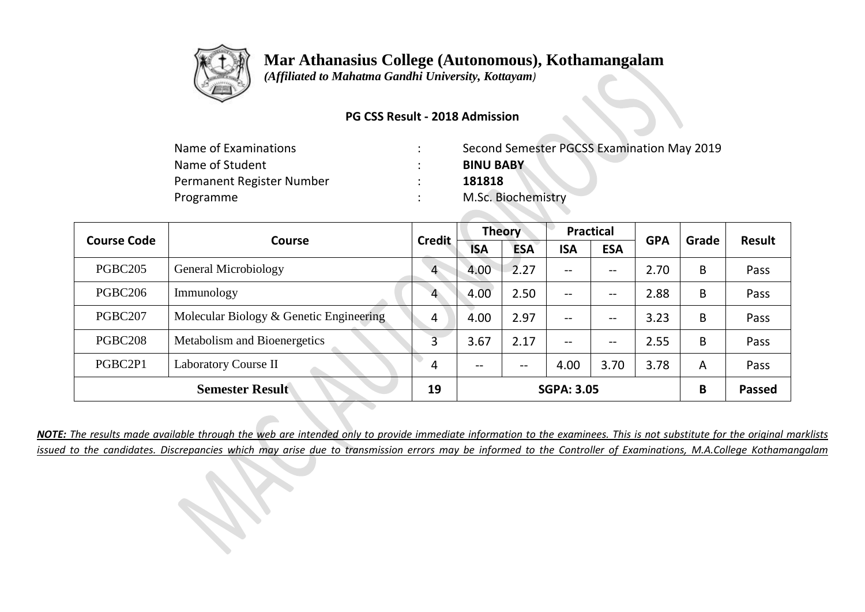

 *(Affiliated to Mahatma Gandhi University, Kottayam)*

### **PG CSS Result - 2018 Admission**

| Name of Examinations      | Second Semester PGCSS Examination May 2019 |
|---------------------------|--------------------------------------------|
| Name of Student           | <b>BINU BABY</b>                           |
| Permanent Register Number | 181818                                     |
| Programme                 | M.Sc. Biochemistry                         |

| <b>Course Code</b><br><b>Course</b> |                                         | <b>Credit</b>  | <b>Theory</b>            |            | <b>Practical</b>         |            | <b>GPA</b> | Grade | <b>Result</b> |
|-------------------------------------|-----------------------------------------|----------------|--------------------------|------------|--------------------------|------------|------------|-------|---------------|
|                                     |                                         |                | <b>ISA</b>               | <b>ESA</b> | <b>ISA</b>               | <b>ESA</b> |            |       |               |
| PGBC <sub>205</sub>                 | General Microbiology                    | $\overline{4}$ | 4.00                     | 2.27       | $\overline{\phantom{m}}$ | --         | 2.70       | B     | Pass          |
| PGBC <sub>206</sub>                 | Immunology                              | $\overline{4}$ | 4.00                     | 2.50       | $\overline{\phantom{m}}$ | --         | 2.88       | B     | Pass          |
| PGBC207                             | Molecular Biology & Genetic Engineering | 4              | 4.00                     | 2.97       | $- -$                    | --         | 3.23       | B     | Pass          |
| PGBC208                             | Metabolism and Bioenergetics            | 3              | 3.67                     | 2.17       | $- -$                    | $- -$      | 2.55       | B     | Pass          |
| PGBC2P1                             | Laboratory Course II                    | 4              | $\overline{\phantom{m}}$ | $- -$      | 4.00                     | 3.70       | 3.78       | A     | Pass          |
|                                     | <b>Semester Result</b>                  | 19             |                          |            | <b>SGPA: 3.05</b>        |            |            | B     | <b>Passed</b> |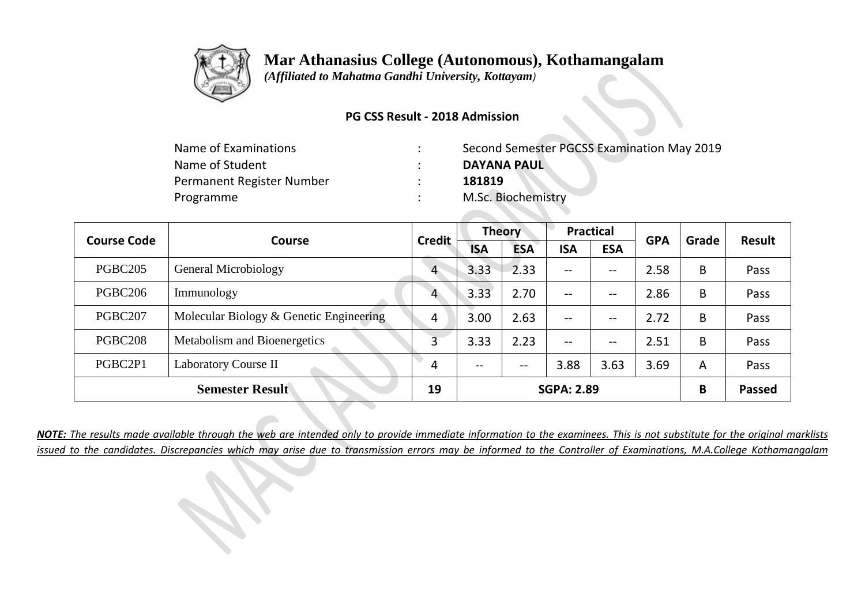

 *(Affiliated to Mahatma Gandhi University, Kottayam)*

### **PG CSS Result - 2018 Admission**

| Name of Examinations      | Second Semester PGCSS Examination May 2019 |
|---------------------------|--------------------------------------------|
| Name of Student           | <b>DAYANA PAUL</b>                         |
| Permanent Register Number | 181819                                     |
| Programme                 | M.Sc. Biochemistry                         |

| <b>Course Code</b>  | <b>Course</b>                           | <b>Credit</b>  | <b>Theory</b> |            | <b>Practical</b>  |            | <b>GPA</b> | Grade | <b>Result</b> |
|---------------------|-----------------------------------------|----------------|---------------|------------|-------------------|------------|------------|-------|---------------|
|                     |                                         |                | <b>ISA</b>    | <b>ESA</b> | <b>ISA</b>        | <b>ESA</b> |            |       |               |
| <b>PGBC205</b>      | General Microbiology                    | $\overline{4}$ | 3.33          | 2.33       | $--$              | --         | 2.58       | B     | Pass          |
| PGBC <sub>206</sub> | Immunology                              | $\overline{4}$ | 3.33          | 2.70       | $--$              | --         | 2.86       | B     | Pass          |
| PGBC207             | Molecular Biology & Genetic Engineering | $\overline{4}$ | 3.00          | 2.63       | $--$              | --         | 2.72       | B     | Pass          |
| PGBC208             | Metabolism and Bioenergetics            | 3              | 3.33          | 2.23       | $--$              | --         | 2.51       | B     | Pass          |
| PGBC2P1             | <b>Laboratory Course II</b>             | 4              | $- -$         | $- -$      | 3.88              | 3.63       | 3.69       | A     | Pass          |
|                     | <b>Semester Result</b>                  | 19             |               |            | <b>SGPA: 2.89</b> |            |            | B     | <b>Passed</b> |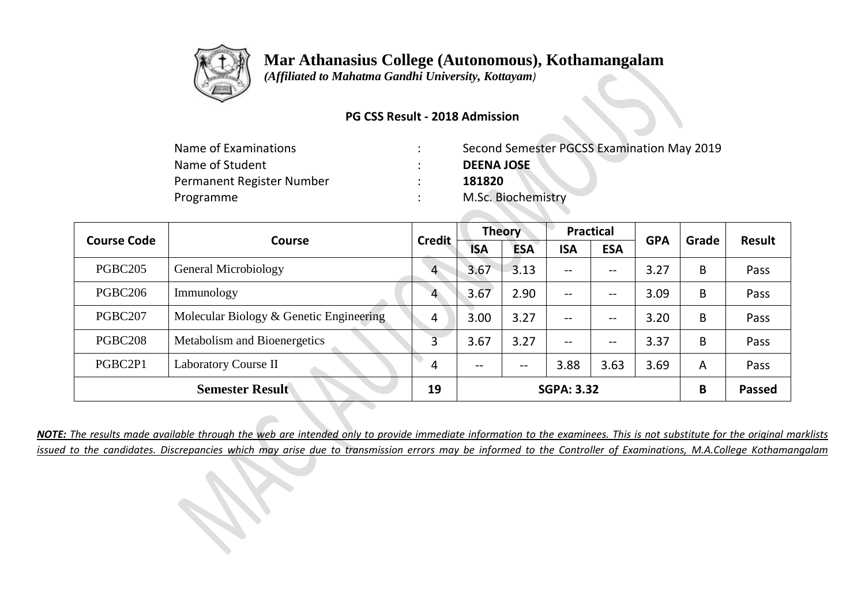

 *(Affiliated to Mahatma Gandhi University, Kottayam)*

### **PG CSS Result - 2018 Admission**

| Name of Examinations      | Second Semester PGCSS Examination May 2019 |
|---------------------------|--------------------------------------------|
| Name of Student           | <b>DEENA JOSE</b>                          |
| Permanent Register Number | 181820                                     |
| Programme                 | M.Sc. Biochemistry                         |

| <b>Course Code</b>  | <b>Course</b>                           | <b>Credit</b>  | <b>Theory</b>            |            | <b>Practical</b>         |            | <b>GPA</b> | Grade | <b>Result</b> |
|---------------------|-----------------------------------------|----------------|--------------------------|------------|--------------------------|------------|------------|-------|---------------|
|                     |                                         |                | <b>ISA</b>               | <b>ESA</b> | <b>ISA</b>               | <b>ESA</b> |            |       |               |
| PGBC <sub>205</sub> | General Microbiology                    | $\overline{4}$ | 3.67                     | 3.13       | $\overline{\phantom{m}}$ | --         | 3.27       | B     | Pass          |
| PGBC <sub>206</sub> | Immunology                              | $\overline{4}$ | 3.67                     | 2.90       | $\overline{\phantom{m}}$ | --         | 3.09       | B     | Pass          |
| PGBC207             | Molecular Biology & Genetic Engineering | 4              | 3.00                     | 3.27       | $- -$                    | --         | 3.20       | B     | Pass          |
| PGBC208             | Metabolism and Bioenergetics            | 3              | 3.67                     | 3.27       | $- -$                    | --         | 3.37       | B     | Pass          |
| PGBC2P1             | Laboratory Course II                    | 4              | $\overline{\phantom{m}}$ | $- -$      | 3.88                     | 3.63       | 3.69       | A     | Pass          |
|                     | <b>Semester Result</b>                  | 19             |                          |            | <b>SGPA: 3.32</b>        |            |            | B     | <b>Passed</b> |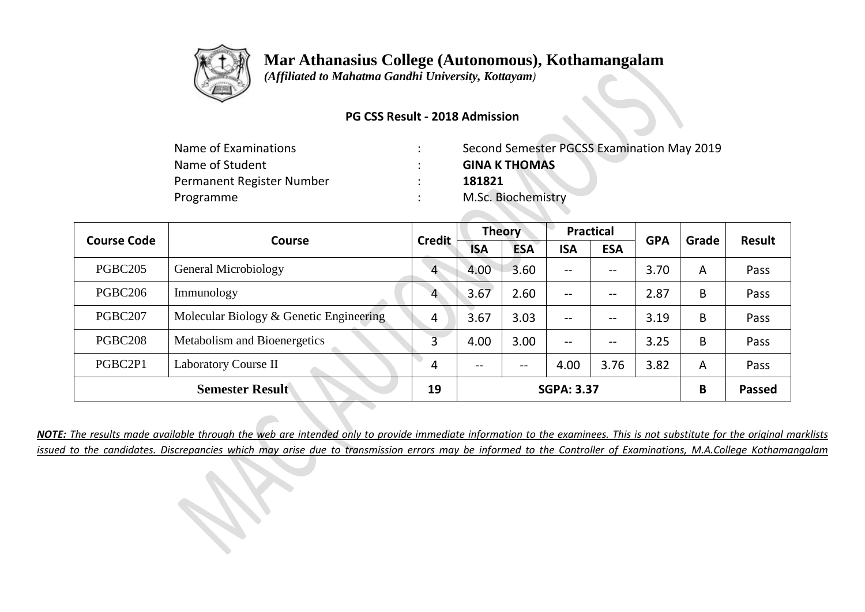

 *(Affiliated to Mahatma Gandhi University, Kottayam)*

### **PG CSS Result - 2018 Admission**

| Name of Examinations      | Second Semester PGCSS Examination May 2019 |
|---------------------------|--------------------------------------------|
| Name of Student           | <b>GINA K THOMAS</b>                       |
| Permanent Register Number | 181821                                     |
| Programme                 | M.Sc. Biochemistry                         |
|                           |                                            |

| <b>Course Code</b>  | Course                                  | <b>Credit</b>  | <b>Theory</b> |            | <b>Practical</b>  |            | <b>GPA</b> | Grade | <b>Result</b> |
|---------------------|-----------------------------------------|----------------|---------------|------------|-------------------|------------|------------|-------|---------------|
|                     |                                         |                | <b>ISA</b>    | <b>ESA</b> | <b>ISA</b>        | <b>ESA</b> |            |       |               |
| PGBC <sub>205</sub> | General Microbiology                    | $\overline{4}$ | 4.00          | 3.60       | $\qquad \qquad -$ | --         | 3.70       | A     | Pass          |
| PGBC <sub>206</sub> | Immunology                              | $\overline{4}$ | 3.67          | 2.60       | $\qquad \qquad -$ | --         | 2.87       | B     | Pass          |
| PGBC207             | Molecular Biology & Genetic Engineering | 4              | 3.67          | 3.03       | $\qquad \qquad -$ | --         | 3.19       | B     | Pass          |
| PGBC <sub>208</sub> | Metabolism and Bioenergetics            | 3              | 4.00          | 3.00       | $- -$             | --         | 3.25       | B     | Pass          |
| PGBC2P1             | Laboratory Course II                    | 4              | $- -$         | $- -$      | 4.00              | 3.76       | 3.82       | A     | Pass          |
|                     | <b>Semester Result</b>                  | 19             |               |            | <b>SGPA: 3.37</b> |            |            | B     | <b>Passed</b> |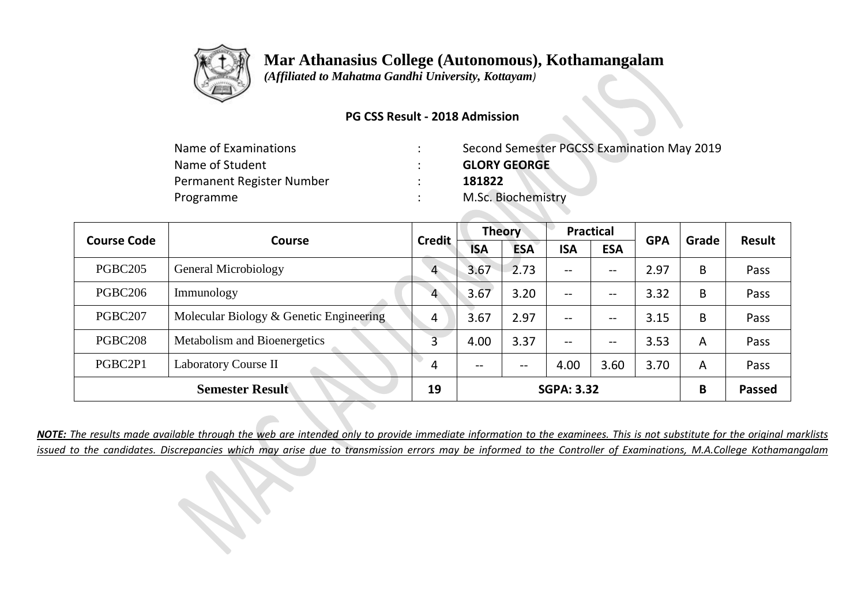

 *(Affiliated to Mahatma Gandhi University, Kottayam)*

### **PG CSS Result - 2018 Admission**

| Name of Examinations      | Second Semester PGCSS Examination May 2019 |
|---------------------------|--------------------------------------------|
| Name of Student           | <b>GLORY GEORGE</b>                        |
| Permanent Register Number | 181822                                     |
| Programme                 | M.Sc. Biochemistry                         |

| <b>Course Code</b><br>Course |                                         | <b>Credit</b>  | <b>Theory</b> |            | <b>Practical</b>  |                          | <b>GPA</b> | Grade | <b>Result</b> |
|------------------------------|-----------------------------------------|----------------|---------------|------------|-------------------|--------------------------|------------|-------|---------------|
|                              |                                         |                | <b>ISA</b>    | <b>ESA</b> | <b>ISA</b>        | <b>ESA</b>               |            |       |               |
| PGBC <sub>205</sub>          | General Microbiology                    | $\overline{4}$ | 3.67          | 2.73       | $\qquad \qquad -$ | $\overline{\phantom{m}}$ | 2.97       | B     | Pass          |
| PGBC206                      | Immunology                              | 4              | 3.67          | 3.20       | $-$               | --                       | 3.32       | B     | Pass          |
| PGBC207                      | Molecular Biology & Genetic Engineering | 4              | 3.67          | 2.97       | $\qquad \qquad -$ | --                       | 3.15       | B     | Pass          |
| PGBC <sub>208</sub>          | Metabolism and Bioenergetics            | 3              | 4.00          | 3.37       | $-$               | --                       | 3.53       | A     | Pass          |
| PGBC2P1                      | Laboratory Course II                    | 4              | $- -$         | $- -$      | 4.00              | 3.60                     | 3.70       | A     | Pass          |
|                              | <b>Semester Result</b>                  | 19             |               |            | <b>SGPA: 3.32</b> |                          |            | B     | <b>Passed</b> |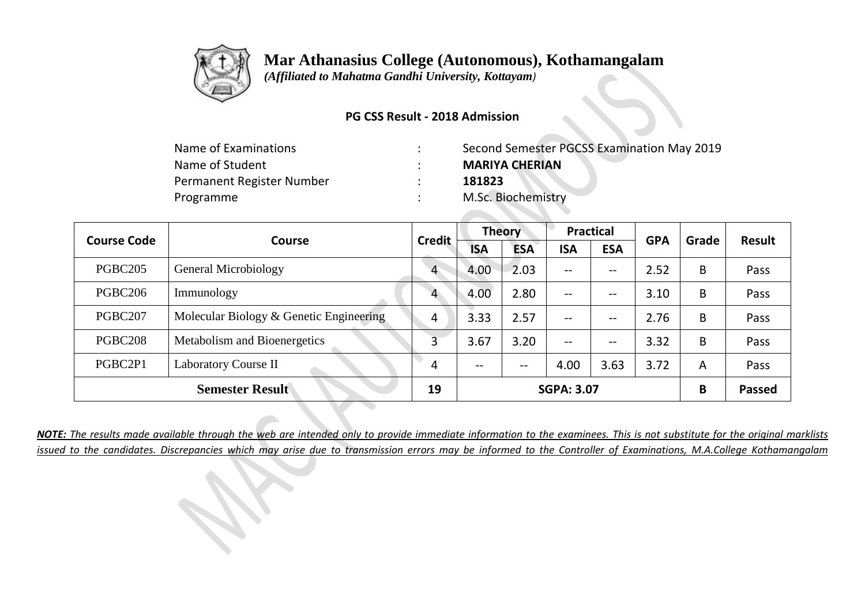

 *(Affiliated to Mahatma Gandhi University, Kottayam)*

### **PG CSS Result - 2018 Admission**

| Name of Examinations      | Second Semester PGCSS Examination May 2019 |
|---------------------------|--------------------------------------------|
| Name of Student           | <b>MARIYA CHERIAN</b>                      |
| Permanent Register Number | 181823                                     |
| Programme                 | M.Sc. Biochemistry                         |

| <b>Course Code</b><br><b>Course</b> |                                         | <b>Credit</b>  | <b>Theory</b> |            | <b>Practical</b>         |            | <b>GPA</b> | Grade | Result        |
|-------------------------------------|-----------------------------------------|----------------|---------------|------------|--------------------------|------------|------------|-------|---------------|
|                                     |                                         |                | <b>ISA</b>    | <b>ESA</b> | <b>ISA</b>               | <b>ESA</b> |            |       |               |
| PGBC <sub>205</sub>                 | General Microbiology                    | $\overline{4}$ | 4.00          | 2.03       | $\qquad \qquad -$        | --         | 2.52       | B     | Pass          |
| PGBC <sub>206</sub>                 | Immunology                              | $\overline{4}$ | 4.00          | 2.80       | $\qquad \qquad -$        | --         | 3.10       | B     | Pass          |
| PGBC207                             | Molecular Biology & Genetic Engineering | 4              | 3.33          | 2.57       | $\overline{\phantom{a}}$ | --         | 2.76       | B     | Pass          |
| <b>PGBC208</b>                      | Metabolism and Bioenergetics            | 3              | 3.67          | 3.20       | $\qquad \qquad -$        | --         | 3.32       | B     | Pass          |
| PGBC2P1                             | <b>Laboratory Course II</b>             | 4              | $- -$         | $- -$      | 4.00                     | 3.63       | 3.72       | A     | Pass          |
|                                     | <b>Semester Result</b>                  | 19             |               |            | <b>SGPA: 3.07</b>        |            |            | B     | <b>Passed</b> |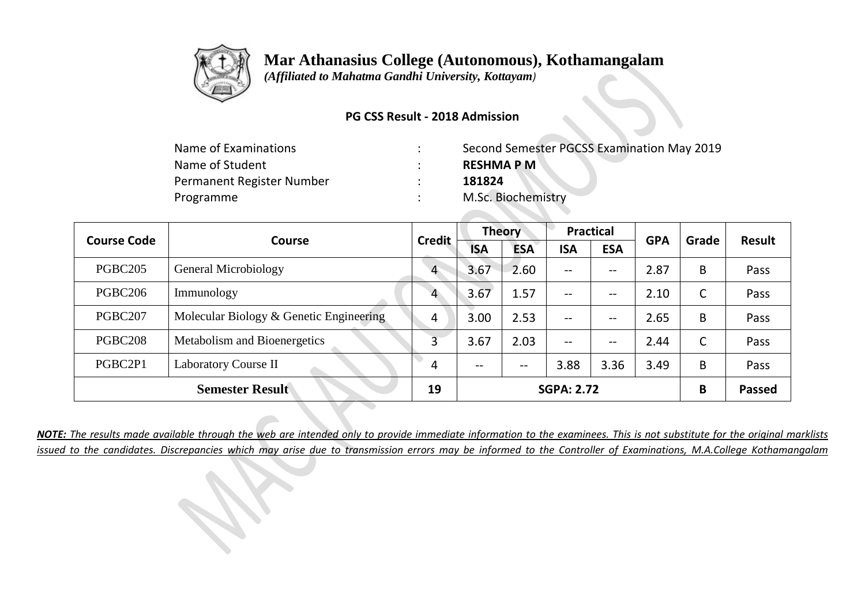

 *(Affiliated to Mahatma Gandhi University, Kottayam)*

### **PG CSS Result - 2018 Admission**

| Name of Examinations      | Second Semester PGCSS Examination May 2019 |
|---------------------------|--------------------------------------------|
| Name of Student           | <b>RESHMAPM</b>                            |
| Permanent Register Number | 181824                                     |
| Programme                 | M.Sc. Biochemistry                         |

| <b>Course Code</b><br><b>Course</b> |                                         | <b>Credit</b>  |                          | <b>Theory</b> |                          | <b>Practical</b> |            | Grade | <b>Result</b> |
|-------------------------------------|-----------------------------------------|----------------|--------------------------|---------------|--------------------------|------------------|------------|-------|---------------|
|                                     |                                         |                | <b>ISA</b>               | <b>ESA</b>    | <b>ISA</b>               | <b>ESA</b>       | <b>GPA</b> |       |               |
| PGBC <sub>205</sub>                 | General Microbiology                    | $\overline{4}$ | 3.67                     | 2.60          | $\overline{\phantom{m}}$ | --               | 2.87       | B     | Pass          |
| PGBC <sub>206</sub>                 | Immunology                              | $\overline{4}$ | 3.67                     | 1.57          | $\overline{\phantom{m}}$ | --               | 2.10       | C     | Pass          |
| PGBC207                             | Molecular Biology & Genetic Engineering | 4              | 3.00                     | 2.53          | $- -$                    | --               | 2.65       | B     | Pass          |
| PGBC <sub>208</sub>                 | Metabolism and Bioenergetics            | 3              | 3.67                     | 2.03          | $- -$                    | --               | 2.44       | C     | Pass          |
| PGBC2P1                             | Laboratory Course II                    | 4              | $\overline{\phantom{m}}$ | $- -$         | 3.88                     | 3.36             | 3.49       | B     | Pass          |
|                                     | <b>Semester Result</b>                  | 19             |                          |               | <b>SGPA: 2.72</b>        |                  |            | B     | <b>Passed</b> |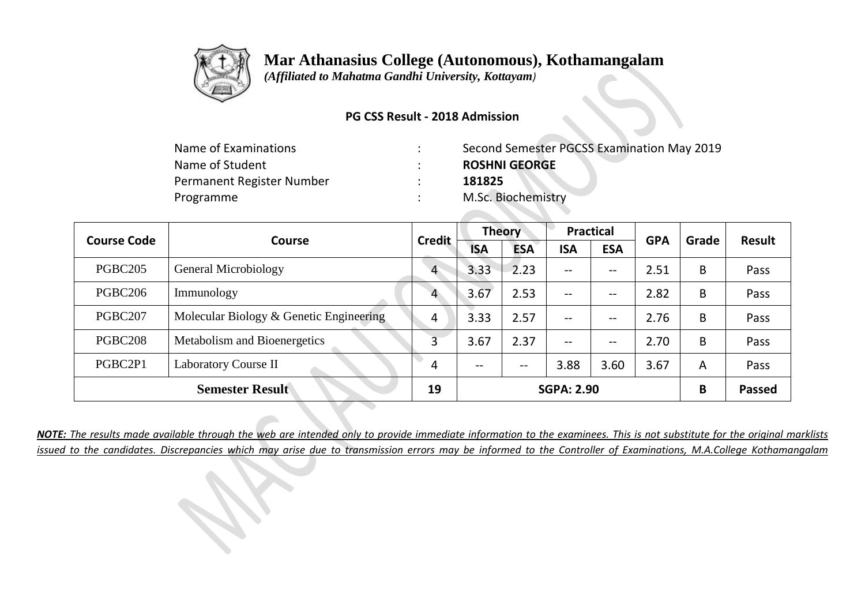

 *(Affiliated to Mahatma Gandhi University, Kottayam)*

### **PG CSS Result - 2018 Admission**

| Name of Examinations      | Second Semester PGCSS Examination May 2019 |
|---------------------------|--------------------------------------------|
| Name of Student           | <b>ROSHNI GEORGE</b>                       |
| Permanent Register Number | 181825                                     |
| Programme                 | M.Sc. Biochemistry                         |

| <b>Course Code</b><br>Course |                                         | <b>Credit</b>  | <b>Theory</b> |            | <b>Practical</b>         |            | <b>GPA</b> | Grade | <b>Result</b> |
|------------------------------|-----------------------------------------|----------------|---------------|------------|--------------------------|------------|------------|-------|---------------|
|                              |                                         |                | <b>ISA</b>    | <b>ESA</b> | <b>ISA</b>               | <b>ESA</b> |            |       |               |
| <b>PGBC205</b>               | General Microbiology                    | $\overline{4}$ | 3.33          | 2.23       | $--$                     | --         | 2.51       | B     | Pass          |
| PGBC <sub>206</sub>          | Immunology                              | 4              | 3.67          | 2.53       | $--$                     | --         | 2.82       | B     | Pass          |
| PGBC207                      | Molecular Biology & Genetic Engineering | 4              | 3.33          | 2.57       | $- -$                    | --         | 2.76       | B     | Pass          |
| PGBC <sub>208</sub>          | Metabolism and Bioenergetics            | 3              | 3.67          | 2.37       | $\overline{\phantom{m}}$ | --         | 2.70       | B     | Pass          |
| PGBC2P1                      | <b>Laboratory Course II</b>             | 4              | $- -$         | $- -$      | 3.88                     | 3.60       | 3.67       | A     | Pass          |
|                              | <b>Semester Result</b>                  | 19             |               |            | <b>SGPA: 2.90</b>        |            |            | B     | <b>Passed</b> |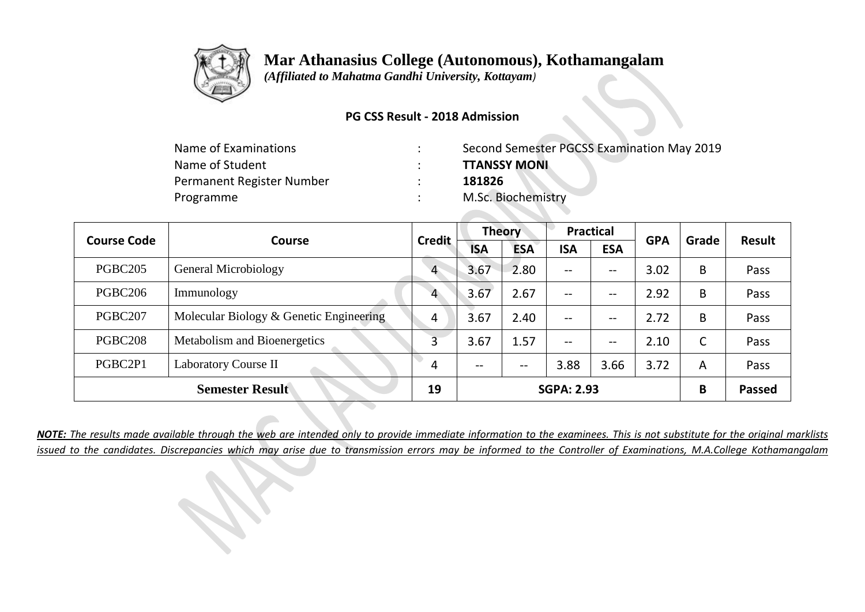

 *(Affiliated to Mahatma Gandhi University, Kottayam)*

### **PG CSS Result - 2018 Admission**

| Name of Examinations      | Second Semester PGCSS Examination May 2019 |
|---------------------------|--------------------------------------------|
| Name of Student           | <b>TTANSSY MONI</b>                        |
| Permanent Register Number | 181826                                     |
| Programme                 | M.Sc. Biochemistry                         |

| <b>Course Code</b><br>Course |                                         | <b>Credit</b>  | <b>Theory</b> |            | <b>Practical</b>         |            | <b>GPA</b> | Grade | <b>Result</b> |
|------------------------------|-----------------------------------------|----------------|---------------|------------|--------------------------|------------|------------|-------|---------------|
|                              |                                         |                | <b>ISA</b>    | <b>ESA</b> | <b>ISA</b>               | <b>ESA</b> |            |       |               |
| <b>PGBC205</b>               | General Microbiology                    | $\overline{4}$ | 3.67          | 2.80       | $--$                     | --         | 3.02       | B     | Pass          |
| PGBC <sub>206</sub>          | Immunology                              | 4              | 3.67          | 2.67       | $--$                     | --         | 2.92       | B     | Pass          |
| PGBC207                      | Molecular Biology & Genetic Engineering | 4              | 3.67          | 2.40       | $- -$                    | --         | 2.72       | B     | Pass          |
| PGBC <sub>208</sub>          | Metabolism and Bioenergetics            | 3              | 3.67          | 1.57       | $\overline{\phantom{m}}$ | --         | 2.10       | C     | Pass          |
| PGBC2P1                      | <b>Laboratory Course II</b>             | 4              | $- -$         | $- -$      | 3.88                     | 3.66       | 3.72       | A     | Pass          |
|                              | <b>Semester Result</b>                  | 19             |               |            | <b>SGPA: 2.93</b>        |            |            | B     | <b>Passed</b> |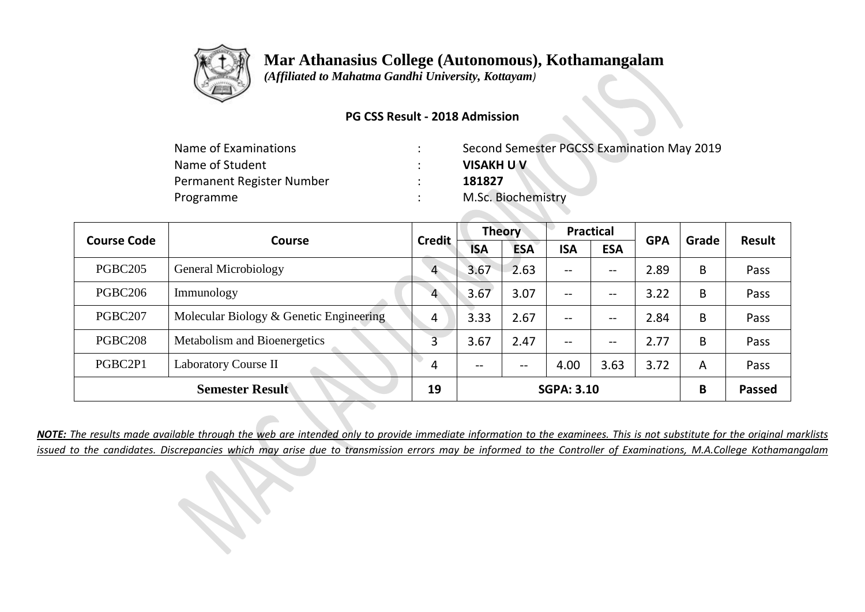

 *(Affiliated to Mahatma Gandhi University, Kottayam)*

### **PG CSS Result - 2018 Admission**

| Name of Examinations      | Second Semester PGCSS Examination May 2019 |
|---------------------------|--------------------------------------------|
| Name of Student           | <b>VISAKH U V</b>                          |
| Permanent Register Number | 181827                                     |
| Programme                 | M.Sc. Biochemistry                         |

| <b>Course Code</b><br>Course |                                         | <b>Credit</b>  | <b>Theory</b>     |            | <b>Practical</b>                      |            | <b>GPA</b> | Grade | <b>Result</b> |
|------------------------------|-----------------------------------------|----------------|-------------------|------------|---------------------------------------|------------|------------|-------|---------------|
|                              |                                         |                | <b>ISA</b>        | <b>ESA</b> | <b>ISA</b>                            | <b>ESA</b> |            |       |               |
| <b>PGBC205</b>               | General Microbiology                    | $\overline{4}$ | 3.67              | 2.63       | $\overline{\phantom{m}}$              | --         | 2.89       | B     | Pass          |
| PGBC206                      | Immunology                              | $\overline{4}$ | 3.67              | 3.07       | $\hspace{0.05cm}$ – $\hspace{0.05cm}$ | $- -$      | 3.22       | B     | Pass          |
| PGBC207                      | Molecular Biology & Genetic Engineering | 4              | 3.33              | 2.67       | $\overline{\phantom{m}}$              | --         | 2.84       | B     | Pass          |
| <b>PGBC208</b>               | Metabolism and Bioenergetics            | 3              | 3.67              | 2.47       | $-$                                   | $- -$      | 2.77       | B     | Pass          |
| PGBC2P1                      | Laboratory Course II                    | 4              | $\qquad \qquad -$ | $- -$      | 4.00                                  | 3.63       | 3.72       | A     | Pass          |
|                              | <b>Semester Result</b>                  | 19             |                   |            | <b>SGPA: 3.10</b>                     |            |            | B     | Passed        |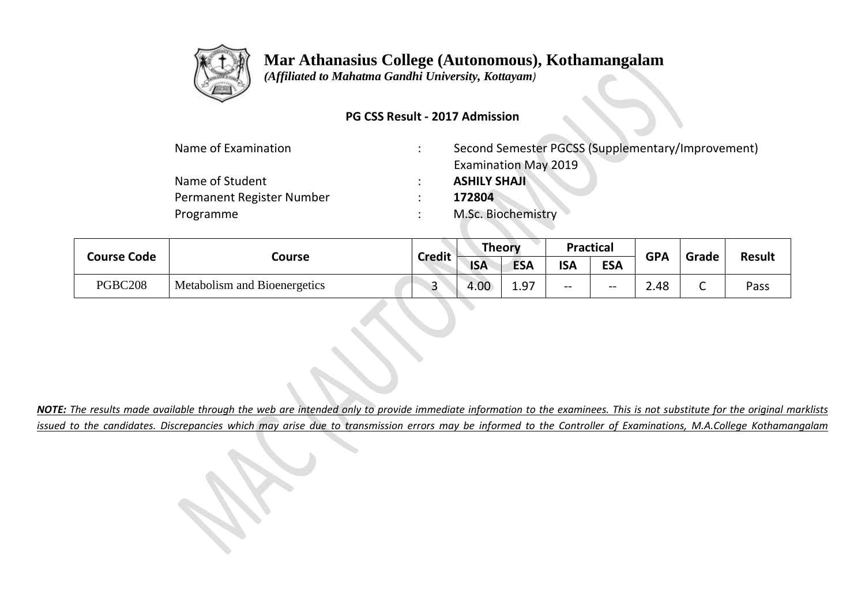

 *(Affiliated to Mahatma Gandhi University, Kottayam)*

### **PG CSS Result - 2017 Admission**

| Name of Examination       | Second Semester PGCSS (Supplementary/Improvement) |
|---------------------------|---------------------------------------------------|
|                           | <b>Examination May 2019</b>                       |
| Name of Student           | <b>ASHILY SHAJI</b>                               |
| Permanent Register Number | 172804                                            |
| Programme                 | M.Sc. Biochemistry                                |

|                    |                              | <b>Credit</b> | <b>Theory</b> |                        | Practical  |            | <b>GPA</b> | Grade  | <b>Result</b> |
|--------------------|------------------------------|---------------|---------------|------------------------|------------|------------|------------|--------|---------------|
| <b>Course Code</b> | Course                       |               | <b>ISA</b>    | <b>ESA</b>             | <b>ISA</b> | <b>ESA</b> |            |        |               |
| PGBC208            | Metabolism and Bioenergetics |               | 4.00          | 10 <sup>7</sup><br>∸∙∽ | $- -$      | $- -$      | 2.48       | ∽<br>◡ | Pass          |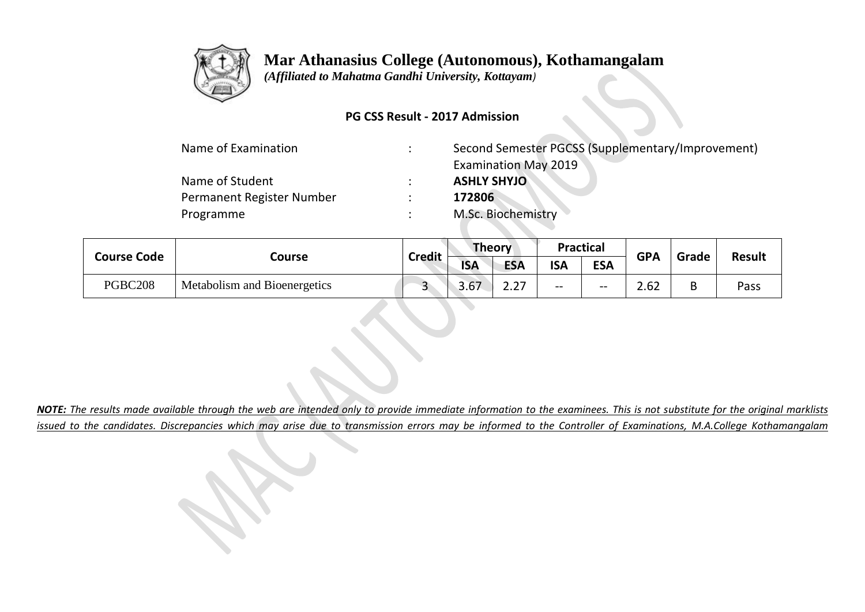

 *(Affiliated to Mahatma Gandhi University, Kottayam)*

### **PG CSS Result - 2017 Admission**

| Name of Examination       | $\bullet$<br>$\cdot$ | Second Semester PGCSS (Supplementary/Improvement) |
|---------------------------|----------------------|---------------------------------------------------|
|                           |                      | <b>Examination May 2019</b>                       |
| Name of Student           | $\bullet$            | <b>ASHLY SHYJO</b>                                |
| Permanent Register Number | $\bullet$            | 172806                                            |
| Programme                 | $\bullet$            | M.Sc. Biochemistry                                |

|  | <b>Course Code</b> |                              | <b>Credit</b> | <b>Theory</b> |            | <b>Practical</b> |            | <b>GPA</b> | Grade | <b>Result</b> |
|--|--------------------|------------------------------|---------------|---------------|------------|------------------|------------|------------|-------|---------------|
|  |                    | Course                       |               | <b>ISA</b>    | <b>ESA</b> | <b>ISA</b>       | <b>ESA</b> |            |       |               |
|  | PGBC208            | Metabolism and Bioenergetics |               | 3.67          | ר ר<br>د   | --               | $- -$      | 2.62       | D     | Pass          |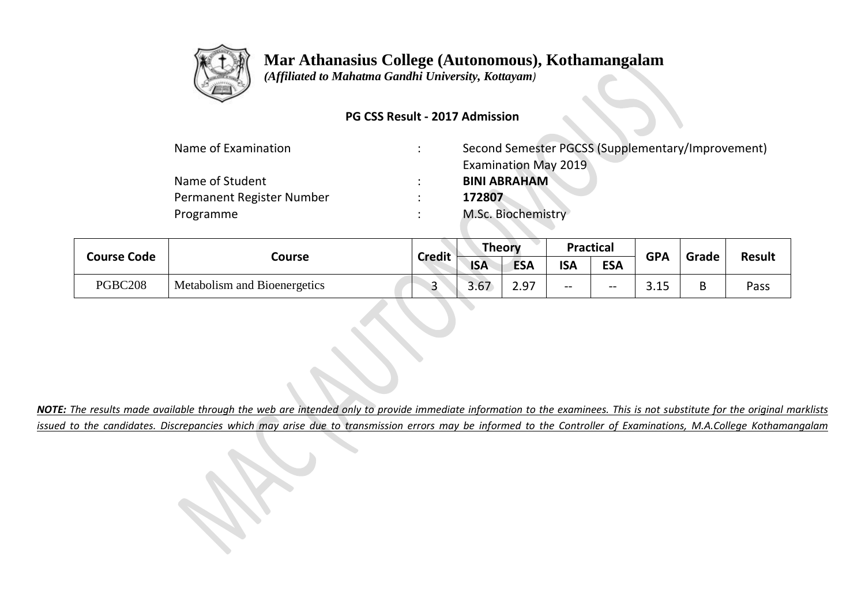

 *(Affiliated to Mahatma Gandhi University, Kottayam)*

### **PG CSS Result - 2017 Admission**

| Name of Examination       | Second Semester PGCSS (Supplementary/Improvement) |
|---------------------------|---------------------------------------------------|
|                           | <b>Examination May 2019</b>                       |
| Name of Student           | <b>BINI ABRAHAM</b>                               |
| Permanent Register Number | 172807                                            |
| Programme                 | M.Sc. Biochemistry                                |

|                    |                              |               |            | <b>Theory</b> |            | <b>Practical</b> | <b>GPA</b>         | Grade | <b>Result</b> |
|--------------------|------------------------------|---------------|------------|---------------|------------|------------------|--------------------|-------|---------------|
| <b>Course Code</b> | Course                       | <b>Credit</b> | <b>ISA</b> | <b>ESA</b>    | <b>ISA</b> | <b>ESA</b>       |                    |       |               |
| PGBC208            | Metabolism and Bioenergetics |               | 3.67       | 2.97          | $- -$      | $- -$            | <b>COMP</b><br>--- | B     | Pass          |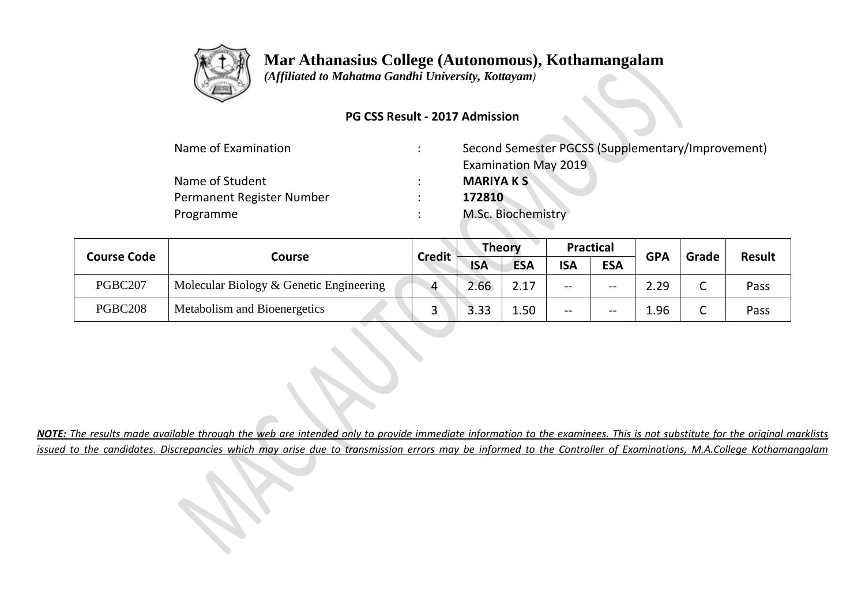

 *(Affiliated to Mahatma Gandhi University, Kottayam)*

### **PG CSS Result - 2017 Admission**

| Name of Examination       | Second Semester PGCSS (Supplementary/Improvement) |
|---------------------------|---------------------------------------------------|
|                           | <b>Examination May 2019</b>                       |
| Name of Student           | <b>MARIYA K S</b>                                 |
| Permanent Register Number | 172810                                            |
| Programme                 | M.Sc. Biochemistry                                |

| <b>Course Code</b> |                                         |                |            | <b>Theory</b> |            | <b>Practical</b> | <b>GPA</b> | Grade  |               |
|--------------------|-----------------------------------------|----------------|------------|---------------|------------|------------------|------------|--------|---------------|
|                    | Course                                  | <b>Credit</b>  | <b>ISA</b> | <b>ESA</b>    | <b>ISA</b> | <b>ESA</b>       |            |        | <b>Result</b> |
| PGBC207            | Molecular Biology & Genetic Engineering | $\overline{4}$ | 2.66       | 217           | $- -$      | $- -$            | 2.29       | ⌒<br>ັ | Pass          |
| <b>PGBC208</b>     | Metabolism and Bioenergetics            |                | 3.33       | 1.50          | $- -$      | $- -$            | 1.96       | ⌒<br>ັ | Pass          |